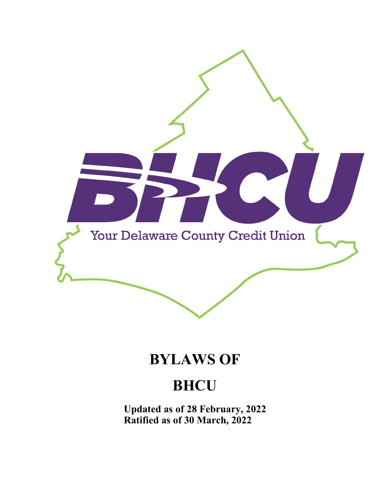

# **BYLAWS OF**

# **BHCU**

**Updated as of 28 February, 2022 Ratified as of 30 March, 2022**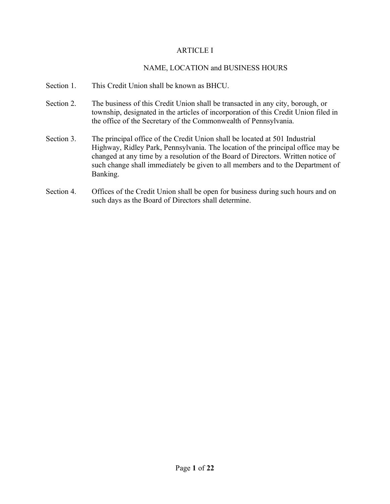### ARTICLE I

## NAME, LOCATION and BUSINESS HOURS

- Section 1. This Credit Union shall be known as BHCU.
- Section 2. The business of this Credit Union shall be transacted in any city, borough, or township, designated in the articles of incorporation of this Credit Union filed in the office of the Secretary of the Commonwealth of Pennsylvania.
- Section 3. The principal office of the Credit Union shall be located at 501 Industrial Highway, Ridley Park, Pennsylvania. The location of the principal office may be changed at any time by a resolution of the Board of Directors. Written notice of such change shall immediately be given to all members and to the Department of Banking.
- Section 4. Offices of the Credit Union shall be open for business during such hours and on such days as the Board of Directors shall determine.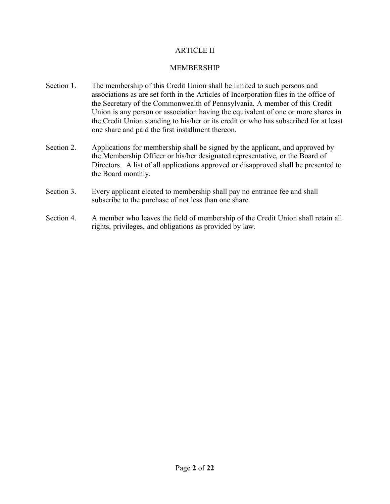## ARTICLE II

# MEMBERSHIP

- Section 1. The membership of this Credit Union shall be limited to such persons and associations as are set forth in the Articles of Incorporation files in the office of the Secretary of the Commonwealth of Pennsylvania. A member of this Credit Union is any person or association having the equivalent of one or more shares in the Credit Union standing to his/her or its credit or who has subscribed for at least one share and paid the first installment thereon.
- Section 2. Applications for membership shall be signed by the applicant, and approved by the Membership Officer or his/her designated representative, or the Board of Directors. A list of all applications approved or disapproved shall be presented to the Board monthly.
- Section 3. Every applicant elected to membership shall pay no entrance fee and shall subscribe to the purchase of not less than one share.
- Section 4. A member who leaves the field of membership of the Credit Union shall retain all rights, privileges, and obligations as provided by law.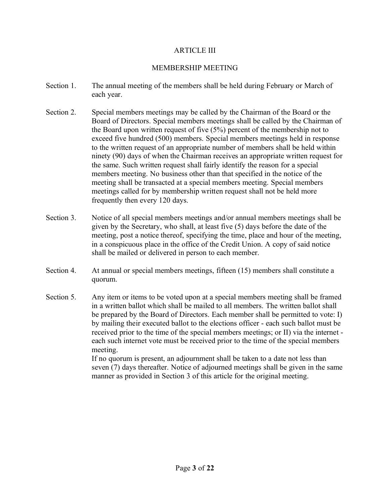#### ARTICLE III

#### MEMBERSHIP MEETING

- Section 1. The annual meeting of the members shall be held during February or March of each year.
- Section 2. Special members meetings may be called by the Chairman of the Board or the Board of Directors. Special members meetings shall be called by the Chairman of the Board upon written request of five (5%) percent of the membership not to exceed five hundred (500) members. Special members meetings held in response to the written request of an appropriate number of members shall be held within ninety (90) days of when the Chairman receives an appropriate written request for the same. Such written request shall fairly identify the reason for a special members meeting. No business other than that specified in the notice of the meeting shall be transacted at a special members meeting. Special members meetings called for by membership written request shall not be held more frequently then every 120 days.
- Section 3. Notice of all special members meetings and/or annual members meetings shall be given by the Secretary, who shall, at least five (5) days before the date of the meeting, post a notice thereof, specifying the time, place and hour of the meeting, in a conspicuous place in the office of the Credit Union. A copy of said notice shall be mailed or delivered in person to each member.
- Section 4. At annual or special members meetings, fifteen (15) members shall constitute a quorum.
- Section 5. Any item or items to be voted upon at a special members meeting shall be framed in a written ballot which shall be mailed to all members. The written ballot shall be prepared by the Board of Directors. Each member shall be permitted to vote: I) by mailing their executed ballot to the elections officer - each such ballot must be received prior to the time of the special members meetings; or II) via the internet each such internet vote must be received prior to the time of the special members meeting.

If no quorum is present, an adjournment shall be taken to a date not less than seven (7) days thereafter. Notice of adjourned meetings shall be given in the same manner as provided in Section 3 of this article for the original meeting.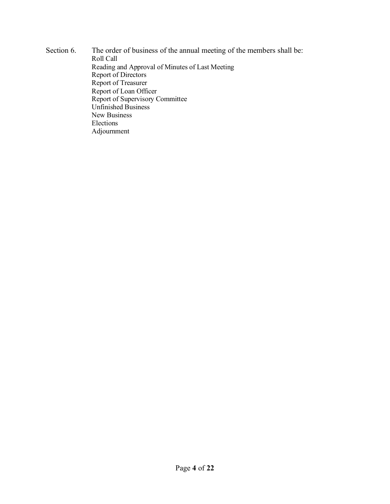Section 6. The order of business of the annual meeting of the members shall be: Roll Call Reading and Approval of Minutes of Last Meeting Report of Directors Report of Treasurer Report of Loan Officer Report of Supervisory Committee Unfinished Business New Business Elections Adjournment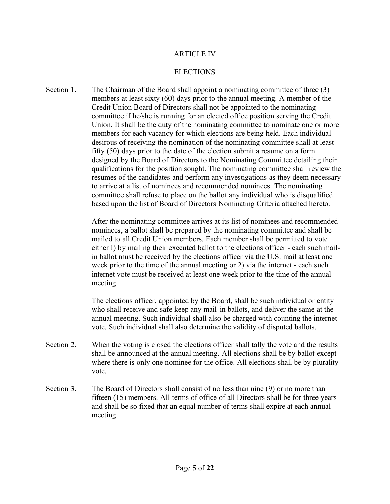#### ARTICLE IV

#### ELECTIONS

Section 1. The Chairman of the Board shall appoint a nominating committee of three (3) members at least sixty (60) days prior to the annual meeting. A member of the Credit Union Board of Directors shall not be appointed to the nominating committee if he/she is running for an elected office position serving the Credit Union. It shall be the duty of the nominating committee to nominate one or more members for each vacancy for which elections are being held. Each individual desirous of receiving the nomination of the nominating committee shall at least fifty (50) days prior to the date of the election submit a resume on a form designed by the Board of Directors to the Nominating Committee detailing their qualifications for the position sought. The nominating committee shall review the resumes of the candidates and perform any investigations as they deem necessary to arrive at a list of nominees and recommended nominees. The nominating committee shall refuse to place on the ballot any individual who is disqualified based upon the list of Board of Directors Nominating Criteria attached hereto.

> After the nominating committee arrives at its list of nominees and recommended nominees, a ballot shall be prepared by the nominating committee and shall be mailed to all Credit Union members. Each member shall be permitted to vote either I) by mailing their executed ballot to the elections officer - each such mailin ballot must be received by the elections officer via the U.S. mail at least one week prior to the time of the annual meeting or 2) via the internet - each such internet vote must be received at least one week prior to the time of the annual meeting.

> The elections officer, appointed by the Board, shall be such individual or entity who shall receive and safe keep any mail-in ballots, and deliver the same at the annual meeting. Such individual shall also be charged with counting the internet vote. Such individual shall also determine the validity of disputed ballots.

- Section 2. When the voting is closed the elections officer shall tally the vote and the results shall be announced at the annual meeting. All elections shall be by ballot except where there is only one nominee for the office. All elections shall be by plurality vote.
- Section 3. The Board of Directors shall consist of no less than nine (9) or no more than fifteen (15) members. All terms of office of all Directors shall be for three years and shall be so fixed that an equal number of terms shall expire at each annual meeting.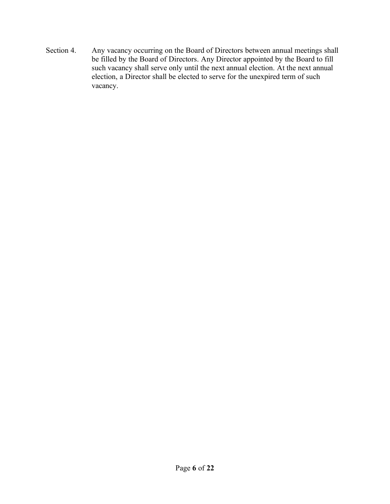Section 4. Any vacancy occurring on the Board of Directors between annual meetings shall be filled by the Board of Directors. Any Director appointed by the Board to fill such vacancy shall serve only until the next annual election. At the next annual election, a Director shall be elected to serve for the unexpired term of such vacancy.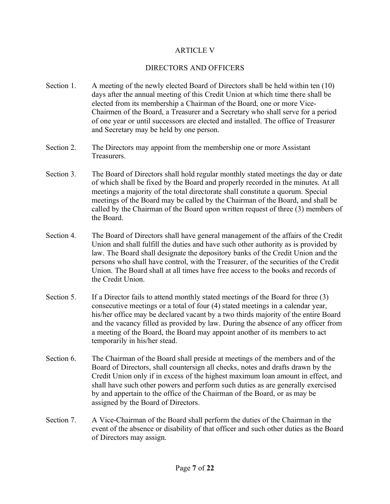#### ARTICLE V

#### DIRECTORS AND OFFICERS

- Section 1. A meeting of the newly elected Board of Directors shall be held within ten (10) days after the annual meeting of this Credit Union at which time there shall be elected from its membership a Chairman of the Board, one or more Vice-Chairmen of the Board, a Treasurer and a Secretary who shall serve for a period of one year or until successors are elected and installed. The office of Treasurer and Secretary may be held by one person.
- Section 2. The Directors may appoint from the membership one or more Assistant Treasurers.
- Section 3. The Board of Directors shall hold regular monthly stated meetings the day or date of which shall be fixed by the Board and properly recorded in the minutes. At all meetings a majority of the total directorate shall constitute a quorum. Special meetings of the Board may be called by the Chairman of the Board, and shall be called by the Chairman of the Board upon written request of three (3) members of the Board.
- Section 4. The Board of Directors shall have general management of the affairs of the Credit Union and shall fulfill the duties and have such other authority as is provided by law. The Board shall designate the depository banks of the Credit Union and the persons who shall have control, with the Treasurer, of the securities of the Credit Union. The Board shall at all times have free access to the books and records of the Credit Union.
- Section 5. If a Director fails to attend monthly stated meetings of the Board for three (3) consecutive meetings or a total of four (4) stated meetings in a calendar year, his/her office may be declared vacant by a two thirds majority of the entire Board and the vacancy filled as provided by law. During the absence of any officer from a meeting of the Board, the Board may appoint another of its members to act temporarily in his/her stead.
- Section 6. The Chairman of the Board shall preside at meetings of the members and of the Board of Directors, shall countersign all checks, notes and drafts drawn by the Credit Union only if in excess of the highest maximum loan amount in effect, and shall have such other powers and perform such duties as are generally exercised by and appertain to the office of the Chairman of the Board, or as may be assigned by the Board of Directors.
- Section 7. A Vice-Chairman of the Board shall perform the duties of the Chairman in the event of the absence or disability of that officer and such other duties as the Board of Directors may assign.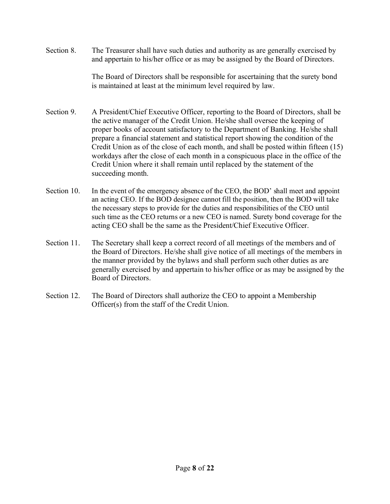Section 8. The Treasurer shall have such duties and authority as are generally exercised by and appertain to his/her office or as may be assigned by the Board of Directors.

> The Board of Directors shall be responsible for ascertaining that the surety bond is maintained at least at the minimum level required by law.

- Section 9. A President/Chief Executive Officer, reporting to the Board of Directors, shall be the active manager of the Credit Union. He/she shall oversee the keeping of proper books of account satisfactory to the Department of Banking. He/she shall prepare a financial statement and statistical report showing the condition of the Credit Union as of the close of each month, and shall be posted within fifteen (15) workdays after the close of each month in a conspicuous place in the office of the Credit Union where it shall remain until replaced by the statement of the succeeding month.
- Section 10. In the event of the emergency absence of the CEO, the BOD' shall meet and appoint an acting CEO. If the BOD designee cannot fill the position, then the BOD will take the necessary steps to provide for the duties and responsibilities of the CEO until such time as the CEO returns or a new CEO is named. Surety bond coverage for the acting CEO shall be the same as the President/Chief Executive Officer.
- Section 11. The Secretary shall keep a correct record of all meetings of the members and of the Board of Directors. He/she shall give notice of all meetings of the members in the manner provided by the bylaws and shall perform such other duties as are generally exercised by and appertain to his/her office or as may be assigned by the Board of Directors.
- Section 12. The Board of Directors shall authorize the CEO to appoint a Membership Officer(s) from the staff of the Credit Union.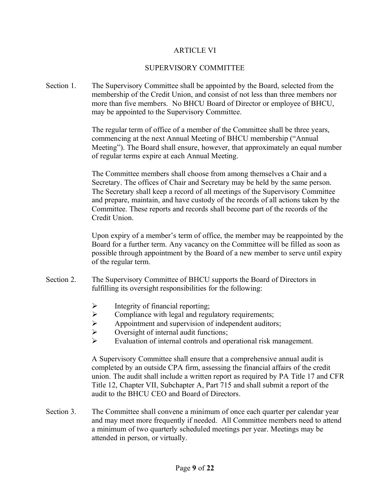#### ARTICLE VI

#### SUPERVISORY COMMITTEE

Section 1. The Supervisory Committee shall be appointed by the Board, selected from the membership of the Credit Union, and consist of not less than three members nor more than five members. No BHCU Board of Director or employee of BHCU, may be appointed to the Supervisory Committee.

> The regular term of office of a member of the Committee shall be three years, commencing at the next Annual Meeting of BHCU membership ("Annual Meeting"). The Board shall ensure, however, that approximately an equal number of regular terms expire at each Annual Meeting.

> The Committee members shall choose from among themselves a Chair and a Secretary. The offices of Chair and Secretary may be held by the same person. The Secretary shall keep a record of all meetings of the Supervisory Committee and prepare, maintain, and have custody of the records of all actions taken by the Committee. These reports and records shall become part of the records of the Credit Union.

Upon expiry of a member's term of office, the member may be reappointed by the Board for a further term. Any vacancy on the Committee will be filled as soon as possible through appointment by the Board of a new member to serve until expiry of the regular term.

- Section 2. The Supervisory Committee of BHCU supports the Board of Directors in fulfilling its oversight responsibilities for the following:
	- $\triangleright$  Integrity of financial reporting;
	-
	- $\triangleright$  Compliance with legal and regulatory requirements;<br> $\triangleright$  Appointment and supervision of independent auditor Appointment and supervision of independent auditors;
	- $\triangleright$  Oversight of internal audit functions;
	- $\triangleright$  Evaluation of internal controls and operational risk management.

A Supervisory Committee shall ensure that a comprehensive annual audit is completed by an outside CPA firm, assessing the financial affairs of the credit union. The audit shall include a written report as required by PA Title 17 and CFR Title 12, Chapter VII, Subchapter A, Part 715 and shall submit a report of the audit to the BHCU CEO and Board of Directors.

Section 3. The Committee shall convene a minimum of once each quarter per calendar year and may meet more frequently if needed. All Committee members need to attend a minimum of two quarterly scheduled meetings per year. Meetings may be attended in person, or virtually.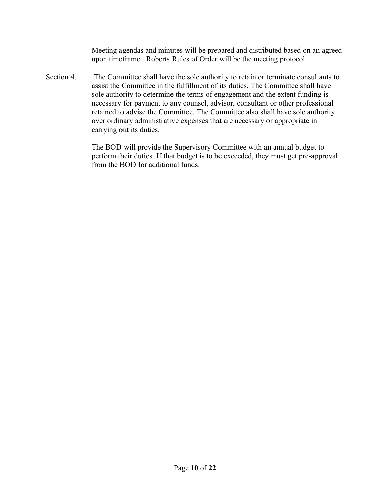Meeting agendas and minutes will be prepared and distributed based on an agreed upon timeframe. Roberts Rules of Order will be the meeting protocol.

Section 4. The Committee shall have the sole authority to retain or terminate consultants to assist the Committee in the fulfillment of its duties. The Committee shall have sole authority to determine the terms of engagement and the extent funding is necessary for payment to any counsel, advisor, consultant or other professional retained to advise the Committee. The Committee also shall have sole authority over ordinary administrative expenses that are necessary or appropriate in carrying out its duties.

> The BOD will provide the Supervisory Committee with an annual budget to perform their duties. If that budget is to be exceeded, they must get pre-approval from the BOD for additional funds.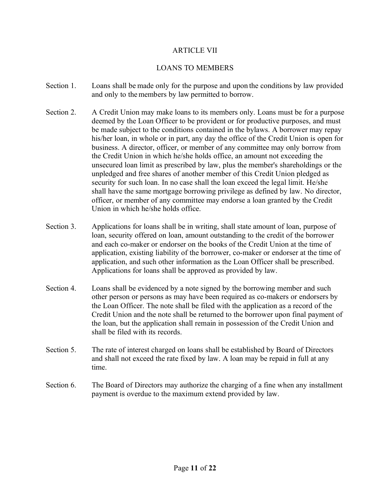#### ARTICLE VII

#### LOANS TO MEMBERS

- Section 1. Loans shall be made only for the purpose and upon the conditions by law provided and only to the members by law permitted to borrow.
- Section 2. A Credit Union may make loans to its members only. Loans must be for a purpose deemed by the Loan Officer to be provident or for productive purposes, and must be made subject to the conditions contained in the bylaws. A borrower may repay his/her loan, in whole or in part, any day the office of the Credit Union is open for business. A director, officer, or member of any committee may only borrow from the Credit Union in which he/she holds office, an amount not exceeding the unsecured loan limit as prescribed by law, plus the member's shareholdings or the unpledged and free shares of another member of this Credit Union pledged as security for such loan. In no case shall the loan exceed the legal limit. He/she shall have the same mortgage borrowing privilege as defined by law. No director, officer, or member of any committee may endorse a loan granted by the Credit Union in which he/she holds office.
- Section 3. Applications for loans shall be in writing, shall state amount of loan, purpose of loan, security offered on loan, amount outstanding to the credit of the borrower and each co-maker or endorser on the books of the Credit Union at the time of application, existing liability of the borrower, co-maker or endorser at the time of application, and such other information as the Loan Officer shall be prescribed. Applications for loans shall be approved as provided by law.
- Section 4. Loans shall be evidenced by a note signed by the borrowing member and such other person or persons as may have been required as co-makers or endorsers by the Loan Officer. The note shall be filed with the application as a record of the Credit Union and the note shall be returned to the borrower upon final payment of the loan, but the application shall remain in possession of the Credit Union and shall be filed with its records.
- Section 5. The rate of interest charged on loans shall be established by Board of Directors and shall not exceed the rate fixed by law. A loan may be repaid in full at any time.
- Section 6. The Board of Directors may authorize the charging of a fine when any installment payment is overdue to the maximum extend provided by law.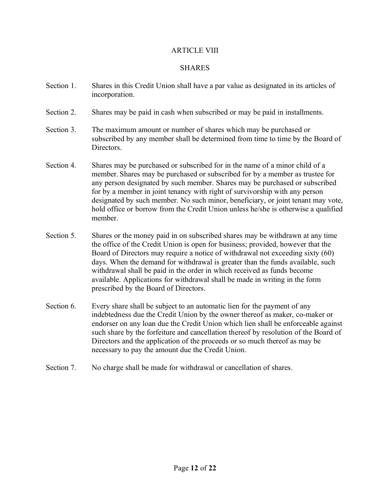#### ARTICLE VIII

#### SHARES

- Section 1. Shares in this Credit Union shall have a par value as designated in its articles of incorporation.
- Section 2. Shares may be paid in cash when subscribed or may be paid in installments.
- Section 3. The maximum amount or number of shares which may be purchased or subscribed by any member shall be determined from time to time by the Board of Directors.
- Section 4. Shares may be purchased or subscribed for in the name of a minor child of a member. Shares may be purchased or subscribed for by a member as trustee for any person designated by such member. Shares may be purchased or subscribed for by a member in joint tenancy with right of survivorship with any person designated by such member. No such minor, beneficiary, or joint tenant may vote, hold office or borrow from the Credit Union unless he/she is otherwise a qualified member.
- Section 5. Shares or the money paid in on subscribed shares may be withdrawn at any time the office of the Credit Union is open for business; provided, however that the Board of Directors may require a notice of withdrawal not exceeding sixty (60) days. When the demand for withdrawal is greater than the funds available, such withdrawal shall be paid in the order in which received as funds become available. Applications for withdrawal shall be made in writing in the form prescribed by the Board of Directors.
- Section 6. Every share shall be subject to an automatic lien for the payment of any indebtedness due the Credit Union by the owner thereof as maker, co-maker or endorser on any loan due the Credit Union which lien shall be enforceable against such share by the forfeiture and cancellation thereof by resolution of the Board of Directors and the application of the proceeds or so much thereof as may be necessary to pay the amount due the Credit Union.
- Section 7. No charge shall be made for withdrawal or cancellation of shares.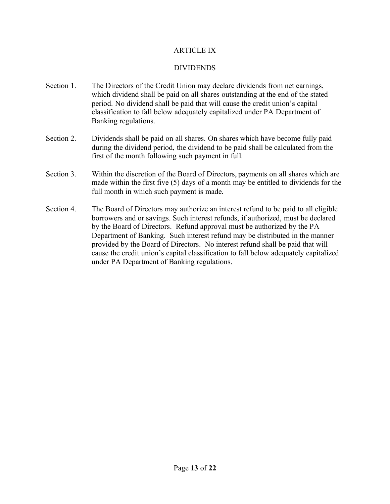#### ARTICLE IX

#### DIVIDENDS

- Section 1. The Directors of the Credit Union may declare dividends from net earnings, which dividend shall be paid on all shares outstanding at the end of the stated period. No dividend shall be paid that will cause the credit union's capital classification to fall below adequately capitalized under PA Department of Banking regulations.
- Section 2. Dividends shall be paid on all shares. On shares which have become fully paid during the dividend period, the dividend to be paid shall be calculated from the first of the month following such payment in full.
- Section 3. Within the discretion of the Board of Directors, payments on all shares which are made within the first five (5) days of a month may be entitled to dividends for the full month in which such payment is made.
- Section 4. The Board of Directors may authorize an interest refund to be paid to all eligible borrowers and or savings. Such interest refunds, if authorized, must be declared by the Board of Directors. Refund approval must be authorized by the PA Department of Banking. Such interest refund may be distributed in the manner provided by the Board of Directors. No interest refund shall be paid that will cause the credit union's capital classification to fall below adequately capitalized under PA Department of Banking regulations.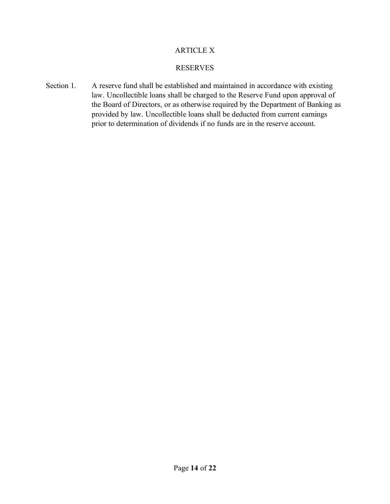#### ARTICLE X

#### RESERVES

Section 1. A reserve fund shall be established and maintained in accordance with existing law. Uncollectible loans shall be charged to the Reserve Fund upon approval of the Board of Directors, or as otherwise required by the Department of Banking as provided by law. Uncollectible loans shall be deducted from current earnings prior to determination of dividends if no funds are in the reserve account.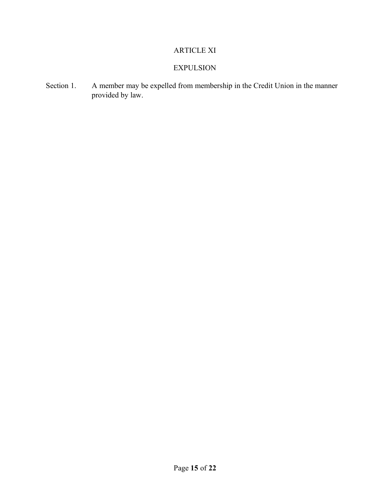# ARTICLE XI

# EXPULSION

Section 1. A member may be expelled from membership in the Credit Union in the manner provided by law.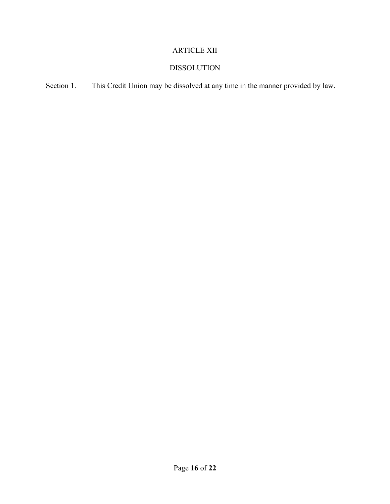# ARTICLE XII

# DISSOLUTION

Section 1. This Credit Union may be dissolved at any time in the manner provided by law.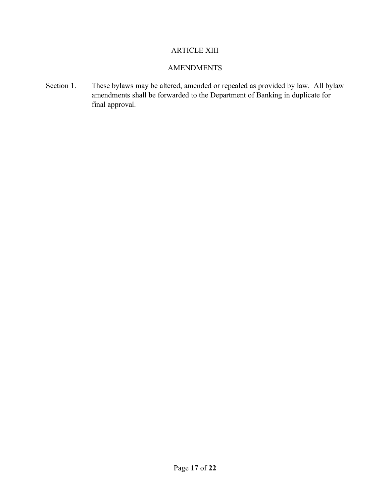# ARTICLE XIII

#### AMENDMENTS

Section 1. These bylaws may be altered, amended or repealed as provided by law. All bylaw amendments shall be forwarded to the Department of Banking in duplicate for final approval.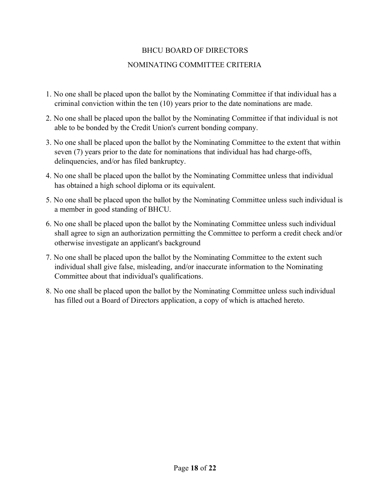# BHCU BOARD OF DIRECTORS

# NOMINATING COMMITTEE CRITERIA

- 1. No one shall be placed upon the ballot by the Nominating Committee if that individual has a criminal conviction within the ten (10) years prior to the date nominations are made.
- 2. No one shall be placed upon the ballot by the Nominating Committee if that individual is not able to be bonded by the Credit Union's current bonding company.
- 3. No one shall be placed upon the ballot by the Nominating Committee to the extent that within seven (7) years prior to the date for nominations that individual has had charge-offs, delinquencies, and/or has filed bankruptcy.
- 4. No one shall be placed upon the ballot by the Nominating Committee unless that individual has obtained a high school diploma or its equivalent.
- 5. No one shall be placed upon the ballot by the Nominating Committee unless such individual is a member in good standing of BHCU.
- 6. No one shall be placed upon the ballot by the Nominating Committee unless such individual shall agree to sign an authorization permitting the Committee to perform a credit check and/or otherwise investigate an applicant's background
- 7. No one shall be placed upon the ballot by the Nominating Committee to the extent such individual shall give false, misleading, and/or inaccurate information to the Nominating Committee about that individual's qualifications.
- 8. No one shall be placed upon the ballot by the Nominating Committee unless such individual has filled out a Board of Directors application, a copy of which is attached hereto.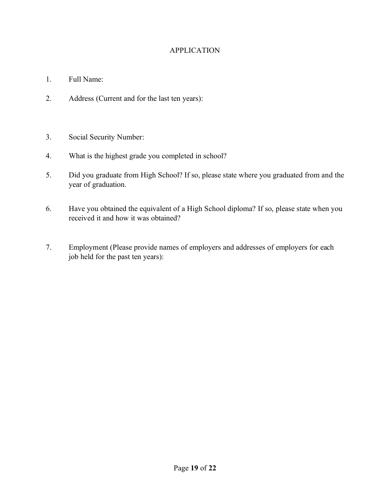## APPLICATION

- 1. Full Name:
- 2. Address (Current and for the last ten years):
- 3. Social Security Number:
- 4. What is the highest grade you completed in school?
- 5. Did you graduate from High School? If so, please state where you graduated from and the year of graduation.
- 6. Have you obtained the equivalent of a High School diploma? If so, please state when you received it and how it was obtained?
- 7. Employment (Please provide names of employers and addresses of employers for each job held for the past ten years):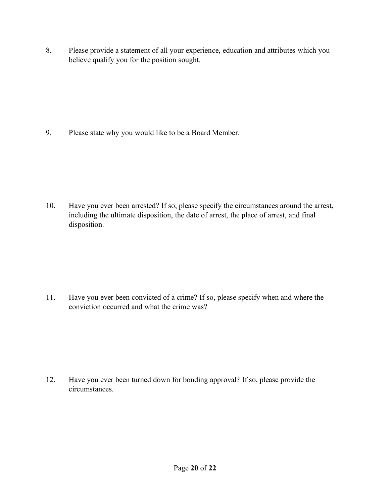8. Please provide a statement of all your experience, education and attributes which you believe qualify you for the position sought.

9. Please state why you would like to be a Board Member.

10. Have you ever been arrested? If so, please specify the circumstances around the arrest, including the ultimate disposition, the date of arrest, the place of arrest, and final disposition.

11. Have you ever been convicted of a crime? If so, please specify when and where the conviction occurred and what the crime was?

12. Have you ever been turned down for bonding approval? If so, please provide the circumstances.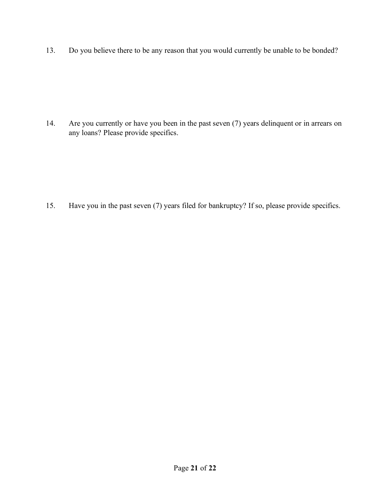13. Do you believe there to be any reason that you would currently be unable to be bonded?

14. Are you currently or have you been in the past seven (7) years delinquent or in arrears on any loans? Please provide specifics.

15. Have you in the past seven (7) years filed for bankruptcy? If so, please provide specifics.